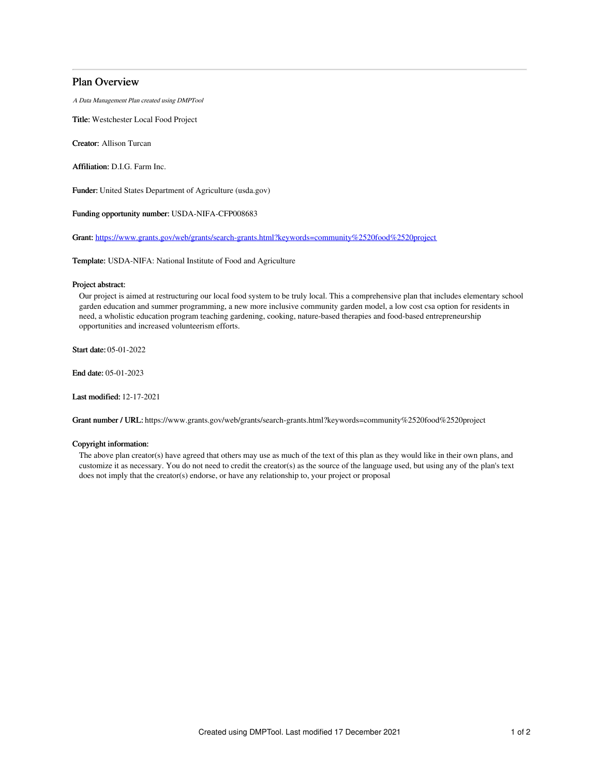# Plan Overview

A Data Management Plan created using DMPTool

Title: Westchester Local Food Project

Creator: Allison Turcan

Affiliation: D.I.G. Farm Inc.

Funder: United States Department of Agriculture (usda.gov)

Funding opportunity number: USDA-NIFA-CFP008683

Grant: [https://www.grants.gov/web/grants/search-grants.html?keywords=community%2520food%2520project](https://www.grants.gov/web/grants/search-grants.html?keywords=community%252520food%252520project)

Template: USDA-NIFA: National Institute of Food and Agriculture

## Project abstract:

Our project is aimed at restructuring our local food system to be truly local. This a comprehensive plan that includes elementary school garden education and summer programming, a new more inclusive community garden model, a low cost csa option for residents in need, a wholistic education program teaching gardening, cooking, nature-based therapies and food-based entrepreneurship opportunities and increased volunteerism efforts.

Start date: 05-01-2022

End date: 05-01-2023

Last modified: 12-17-2021

Grant number / URL: https://www.grants.gov/web/grants/search-grants.html?keywords=community%2520food%2520project

## Copyright information:

The above plan creator(s) have agreed that others may use as much of the text of this plan as they would like in their own plans, and customize it as necessary. You do not need to credit the creator(s) as the source of the language used, but using any of the plan's text does not imply that the creator(s) endorse, or have any relationship to, your project or proposal